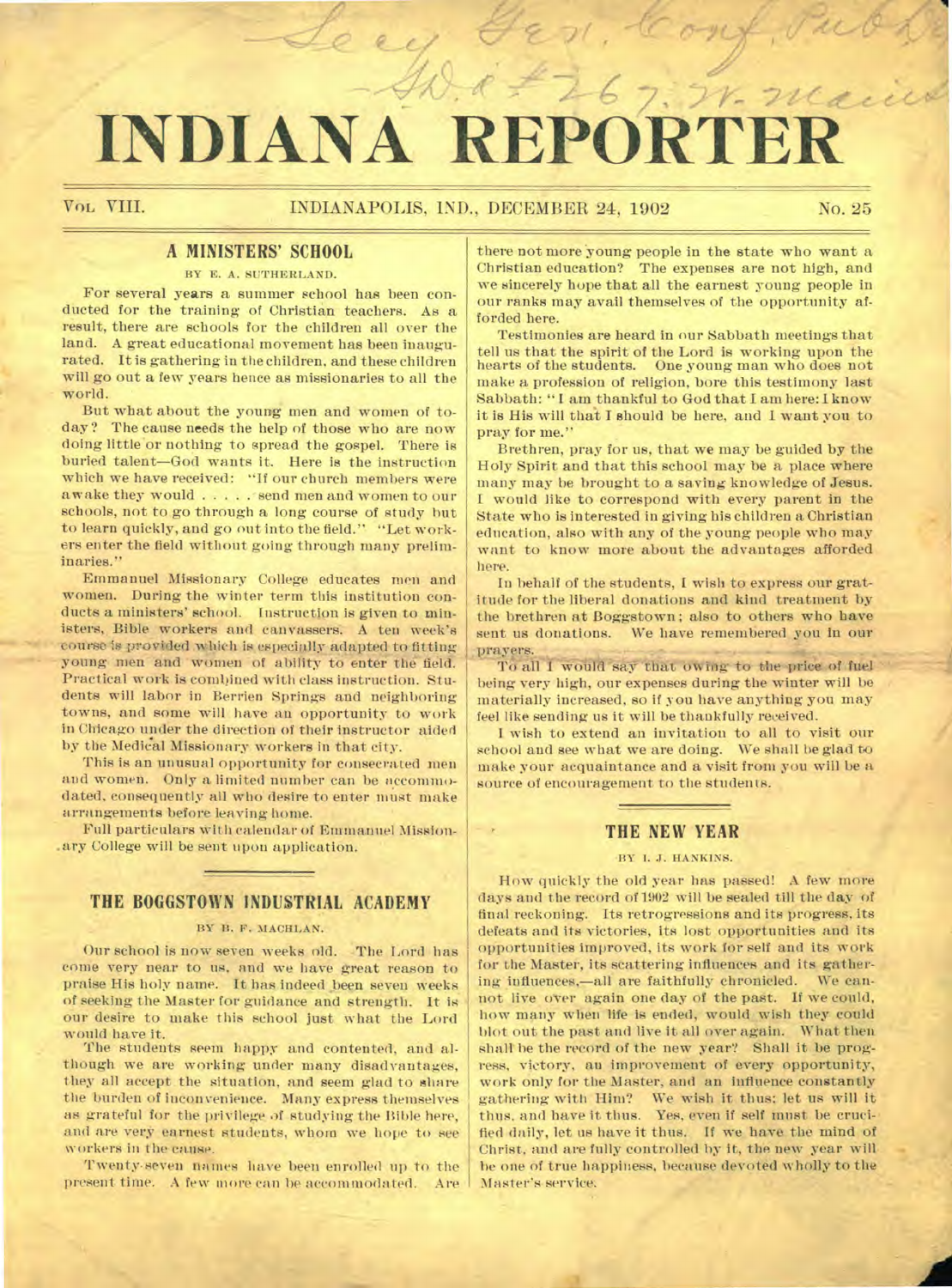# INDIANA REPORTE

 $76$ 

 $rac{1}{2}$ 

#### **A MINISTERS' SCHOOL**

#### BY E. A. SUTHERLAND.

For several years a summer school has been conducted for the training of Christian teachers. As a result, there are schools for the children all over the land. A great educational movement has been inaugurated. It is gathering in the children, and these children will go out a few years hence as missionaries to all the world.

But what about the young men and women of today? The cause needs the help of those who are now doing little'or nothing to spread the gospel. There is buried talent—God wants it. Here is the instruction which we have received: "If our church members were awake they would . . . . . send men and women to our schools, not to go through a long course of study hut to learn quickly, and go out into the field." "Let workers enter the field without going through many preliminaries."

Emmanuel Missionary College educates men and women. During the winter term this institution conducts a ministers' school. Instruction is given to ministers, Bible workers and canvassers. A ten week's course is provided which is especially adapted to fitting young men and women of ability to enter the field. Practical work is combined with class instruction. Students will labor in Berrien Springs and neighboring towns, and some will have an opportunity to work in Chicago under the direction of their instructor aided by the Medical Missionary workers in that city.

This is an unusual opportunity for consecrated men and women. Only a limited number can be accommodated, consequently all who desire to enter must make arrangements before leaving home.

Full particulars with calendar of Emmanuel Mission-Airy College will be sent upon application.

#### **THE BOGGSTOWN INDUSTRIAL ACADEMY**

#### BY B. F. MACHLAN.

Our school is now seven weeks old. The Lord has come very near to us. and we have great reason to praise His holy name. It has indeed been seven weeks of seeking the Master for guidance and strength. It is our desire to make this school just what the Lord would have it.

The students seem happy and contented, and although we are working under many disadvantages, they all accept the situation, and seem glad to share the burden of inconvenience. Many express themselves as grateful for the privilege of studying the Bible here, and are very earnest students, whom we hope to see workers in the cause.

Twenty-seven names have been enrolled up to the present time. A few more can be accommodated. Are

there not more young people in the state who want a Christian education? The expenses are not high, and we sincerely hope that all the earnest young people in our ranks may avail themselves of the opportunity afforded here.

Testimonies are heard in our Sabbath meetings that tell us that the spirit of the Lord is working upon the hearts of the students. One young man who does not make a profession of religion, bore this testimony last Sabbath: " I am thankful to God that I am here: I know it is His will that I should be here, and I want you to pray for me.'

Brethren, pray for us, that we may be guided by the Holy Spirit and that this school may be a place where many may be brought to a saving knowledge of Jesus. I would like to correspond with every parent in the State who is interested in giving his children a Christian education, also with any of the young people who may want to know more about the advantages afforded here.

In behalf of the students, I wish to express our gratitude for the liberal donations and kind treatment by the brethren at Boggstown ; also to others who have sent us donations. We have remembered you in our prayers.

To all I would say that owiog to the price of fuel being very high, our expenses during the winter will be materially increased, so if you have anything you may feel like sending us it will be thankfully received.

I wish to extend an invitation to all to visit our school and see what we are doing. We shall be glad to make your acquaintance and a visit from you will be a source of encouragement to the students.

#### **THE NEW YEAR**

#### BY I. J. HANKINS.

How quickly the old year has passed! A few more days and the record of 1902 will be sealed till the day of final reckoning. Its retrogressions and its progress, its defeats and its victories, its lost opportunities and its opportunities improved, its work for self and its work for the Master, its scattering influences and its gathering influences.—all are faithfully chronicled. We cannot live over again one day of the past. If we could, how many when life is ended, would wish they could blot out the past and live it all over again. What then shall be the record of the new year? Shall it be progress, victory, an improvement of every opportunity, work only for the Master, and an influence constantly gathering with Him? We wish it thus: let us will it thus, and have it thus. Yes, even if self must be crucified daily, let us have it thus. If we have the mind of Christ, and are fully controlled by it, the new year will be one of true happiness, because devoted wholly to the Master's service.

'3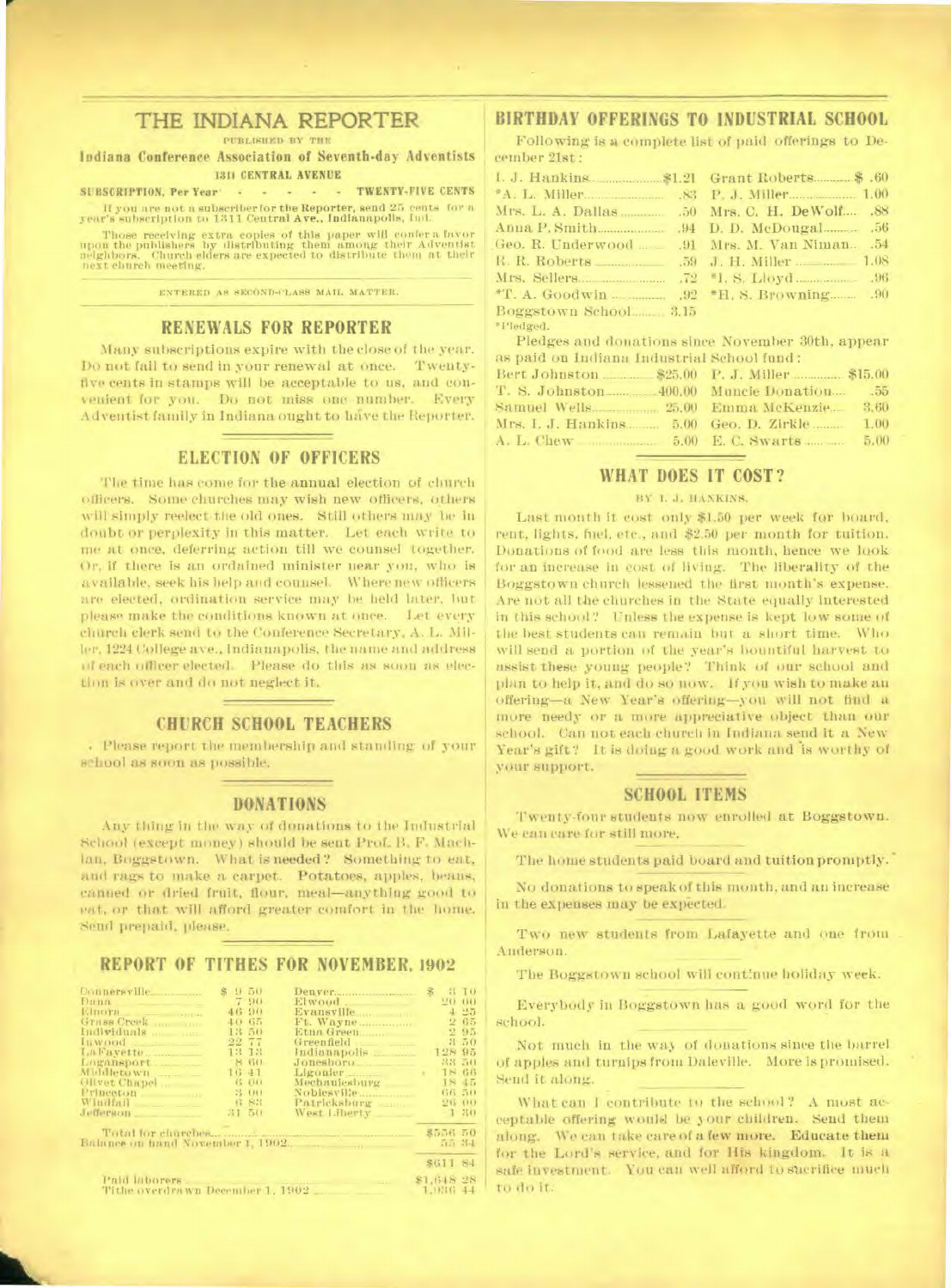#### **THE INDIANA REPORTER**

PUBLISHED BY THE.

**Indiana Conference Association of Seventh-day Adventists 1311 CENTRAL AVENUE** 

**SUBSCRIPTION. Per Year TWENTY-FIVE CENTS** If you are not a subscriber for the Reporter, send 25 cents for a year's subscription to 1311 Central Ave., Indianapolis, Ind.

Those receiving extra copies of this paper will confer a favor upon the publishers by distributing them among their Adventist neighbors. Church elders are expected to distribute them at their next church meeting.

ENTERED AS SECOND-CLASS MAIL MATTER.

#### **RENEWALS FOR REPORTER**

Many subscriptions expire with the close of the year. Do not fail to send in your renewal at once. Twentyfive cents in stamps will be acceptable to us, and convenient for you. Do not miss one number. Every Adventist family in Indiana ought to have the Reporter.

#### **ELECTION OF OFFICERS**

The time has come for the annual election of church officers. Some churches may wish new officers, others will simply reelect the old ones. Still others may be in doubt or perplexity in this matter. Let each write to me at once, deferring action till we counsel together. Or, if there is an ordained minister near you, who is available. seek his help and counsel. Where new officers are elected, ordination service may be held later, hut please make the conditions known at once. Let every church clerk send to the Conference Secretary, A. L. Miller, 1224 College ave., Indianapolis, the name and address of each officer elected. Please do this as soon as election is over and do not neglect it.

#### **CHURCH SCHOOL TEACHERS**

Please report the membership and standing.of your school as soon as possible.

#### **DONATIONS**

Any thing in the way of donations to the Industrial School (except money) should be sent Prof. B. F. Mach-Ian, Boggstown. What is needed? Something to eat, and rags to make a carpet. Potatoes, apples, beans, canned or dried fruit, flour, meal-anything good to eat, or that will afford greater comfort in the home. Send prepaid. please.

#### **REPORT OF TITHES FOR NOVEMBER, 1902**

| Connersville<br>Dann<br><u> The Common State State State State State State State State State State State State State State State State State State State State State State State State State State State State State State State State State State State</u><br>Logansport.<br>Gilvet Chapel<br>Princeton<br>Windfall __________ | $16 - 11$ | 9.50<br>7 90<br>46 90<br>40 65<br>13 50<br>22 77<br>13 13<br>8 60<br><b>B-00</b><br>3.00<br>6.83 | Elwood.<br>Ft. Wayne<br>Etna Green<br>Indianapolis<br>Jonesboro<br>Mechanicsburg<br>Patricksburg | 26<br>128 95                                        | 3 10<br>20 00<br>4.25<br>2.65<br>2.95<br><b>850</b><br>33 50<br>18.66<br>1845<br>66 50<br>26 00 |
|----------------------------------------------------------------------------------------------------------------------------------------------------------------------------------------------------------------------------------------------------------------------------------------------------------------------------------|-----------|--------------------------------------------------------------------------------------------------|--------------------------------------------------------------------------------------------------|-----------------------------------------------------|-------------------------------------------------------------------------------------------------|
| Jederson<br>Tithe overdrawn December 1, 1902                                                                                                                                                                                                                                                                                     | 31.50     |                                                                                                  | West Liberty<br>Paid laborers, and annual management and an                                      | <b>S556 50</b><br>\$61184<br>\$1,618 28<br>1,036 44 | $1-30$<br>55 34                                                                                 |

#### **BIRTHDAY OFFERINGS TO INDUSTRIAL SCHOOL**

Following is **a complete** list of paid offerings to December 21st :

| 1. J. Hankins. \$1.21 Grant Roberts \$.60     |  |
|-----------------------------------------------|--|
|                                               |  |
|                                               |  |
|                                               |  |
| Geo. R. Underwood    91 Mrs. M. Van Niman .54 |  |
|                                               |  |
|                                               |  |
|                                               |  |
| Boggstown School 3.15                         |  |
| *Pledged.                                     |  |

Pledges and donations since November 30th, appear as paid on Indiana Industrial School fund :

| Bert Johnston 25.00 P. J. Miller 35.00 |       |
|----------------------------------------|-------|
| T. S. Johnston 400.00 Muncie Donation  | $-55$ |
|                                        | 3.60  |
|                                        | 1.00  |
|                                        | 5.00. |

#### **WHAT DOES IT COST?**

#### BY 1. J. HANKINS.

Last month it cost only \$1.50 per week for board, rent, lights, fuel, etc., and \$2.50 per month for tuition. Donations of food are less this month, hence we look for an increase in cost of living. The liberality of the Boggstown church lessened the first month's expense. Are not all the churches in the State equally interested in this school? Unless the expense is kept low some of the best students can remain but a short time. Who will send a portion of the year's bountiful harvest to assist these young people? Think of our school and plan to help it, and do so now. If you wish to make an offering-a New Year's offering-you will not find a more needy or a more appreciative object than our school. Can not each church in Indiana send it a New Year's gift? It is doing a good work and is worthy of your support.

#### **SCHOOL ITEMS**

Twenty-four students now enrolled at Boggstown. We can care for still more.

The home students paid board and tuition promptly.

No donations to speak of this month, and an increase in the expenses may be expected.

Two new students from Lafayette and one from Anderson.

The Boggstown school will continue holiday week.

Everybody in Boggstown has a good word for the school.

Not much in the way of donations since the barrel of apples and turnips from Daleville. More is promised. Send it along.

What can I contribute to the school? A most acceptable offering would be 3 our children. Send them along. We can take care of a few more. Educate them for the Lord's service, and for His kingdom. It is a safe investment. You can well afford to sucrifice much to do it.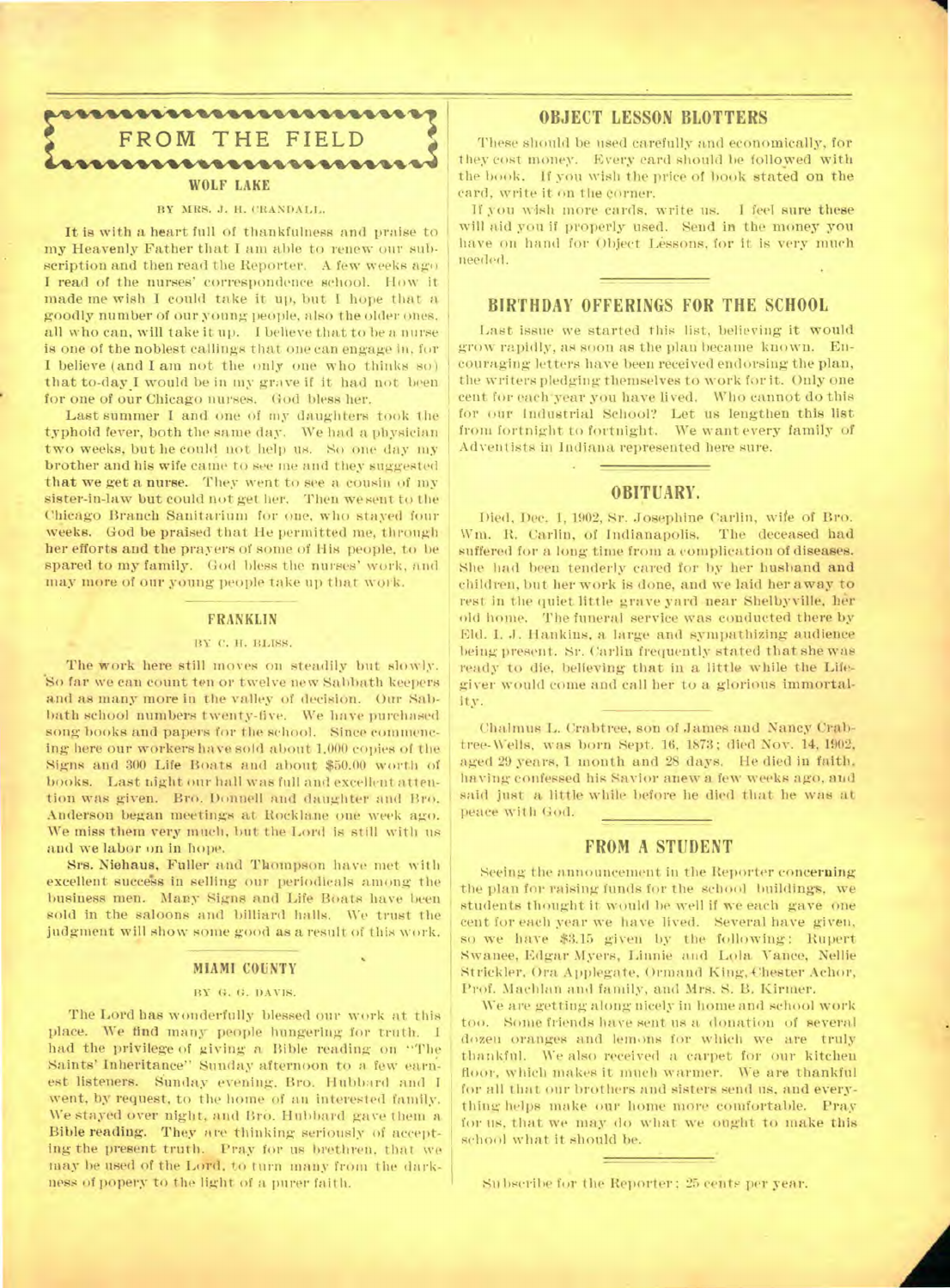

#### BY MRS. J. H. CRANDALL.

It is with a heart full of thankfulness and praise to my Heavenly Father that I am able to renew our subscription and then read the Reporter. A few weeks ago I read of the nurses' correspondence school. How it made me wish I could take it up, but I hope that a goodly number of our young people, also the older ones, all who can, will take it up. I believe that to be a nurse is one of the noblest callings that one can engage in, fur I believe (and I am not the only one who thinks so) that to-day.I would be in my grave if it had not been for one of our Chicago nurses. God bless her.

Last summer I and one of my daughters took the typhoid fever, both the same day. We had a physician two weeks, but he could not help us. So one day my brother and his wife came to see me and they suggested that we get a nurse. They went to see a cousin of my sister-in-law but could not get her. Then we sent to the Chicago Branch Sanitarium for one, who stayed four weeks. God be praised that He permitted me, through her efforts and the prayers of some of His people, to be spared to my family. God bless the nurses' work, and may more of our young people take up that work. •

#### **FRANKLIN**

#### BY C. H. BLISS.

The work here still moves on steadily but slowly. \*So far we can count ten or twelve new Sabbath keepers and as many more in the valley of decision. Oar Sabbath school numbers twenty-five. We have purchased song books and papers for the school. Since commencing here our workers have sold about 1,000 copies of the Signs and 300 Life Boats and about \$50.00 worth of books. Last night our hall was full and excellent attention was given. Bro. Donnell and daughter and Bro. Anderson began meetings at Rocklane one week ago. We miss them very much, but the Lord is still with us and we labor on in hope.

Srs. Niehaus, Fuller and Thompson have met with excellent success in selling our periodicals among the business men. Many Signs and Life Boats have been sold in the saloons and billiard halls. We trust the judgment will show some good as a result of this work.

#### **MIAMI COUNTY**

#### BY G. G. DAVIS.

The Lord has wonderfully blessed our work at this place. We find many people hungering for truth. I had the privilege of giving a Bible reading on "The Saints' Inheritance" Sunday afternoon to a. few earnest listeners. Sunday evening, Bro. Hubbard and I went, by request, to the home of an interested family. We stayed over night, and Bro. Hubbard gave them a Bible reading. They are thinking seriously of accepting the present truth. Pray for us brethren, that we may be used of the Lord. to turn many from the darkness of popery to the light of a purer faith.

#### **OBJECT LESSON BLOTTERS**

These should be used carefully and economically, for they cost money. Every card should be followed with the book. If you wish the price of book stated on the card, write it on the corner.

If you wish more cards, write us. I feel sure these will aid you if properly used. Send in the money you have on hand for Object Lessons, for it is very much needed.

#### **BIRTHDAY OFFERINGS FOR THE SCHOOL**

Last issue we started this list, believing it would grow rapidly, as soon as the plan became known. Encouraging letters have been received endorsing the plan, the writers pledging themselves to work for it. Only one cent for each'year you have lived. Who cannot do this for our Industrial School? Let us lengthen this list from fortnight to fortnight. We want every family of Adventists in Indiana represented here sure.

#### **OBITUARY.**

Died, Dec. 1, 1902, Sr. Josephine Carlin, wife of Bro. Wm. R. Carlin, of Indianapolis. The deceased had suffered for a long time from a complication of diseases. She had been tenderly cared for by her husband and children, but her work is done, and we laid her away to rest in the quiet little grave yard near Shelbyville, her old home. The funeral service was conducted there by Eld. I. J. Hankins, a large and sympathizing audience being present. Sr. Carlin frequently stated that she was ready to die, believing that in a little while the Lifegiver would come and call her to a glorious immortality.

Chalmus L. Crabtree, son of James and Nancy Crabtree-Wells, was born Sept. 16, 1873; died Nov. 14, 1902, aged 29 years, 1 month and 28 days. He died in faith, having confessed his Savior anew a few weeks ago, and said just a little while before he died that he was at peace with God.

#### **FROM A STUDENT**

Seeing the announcement in the Reporter concerning the plan for raising funds for the school buildings, we students thought it would be well if we each gave one cent for each year we have lived. Several have given, so we have \$3.15 given by the following: Rupert Swanee, Edgar Myers, Linnie and Lola Vance, Nellie Strickler, Ora Applegate, Ormand King, Chester Achor, Prof. Machlan and family, and Mrs. S. B. Kirmer.

We are getting along nicely in home and school work too. Some friends have sent us a donation of several dozen oranges and lemons for which we are truly thankful. We also received a carpet for our kitchen floor, which makes it much warmer. We are thankful for all that our brothers and sisters send us, and everything helps make our home more comfortable. Pray for us, that we may do what we ought to make this school what it should be.

Subscribe for the Reporter; 25 cents per year.